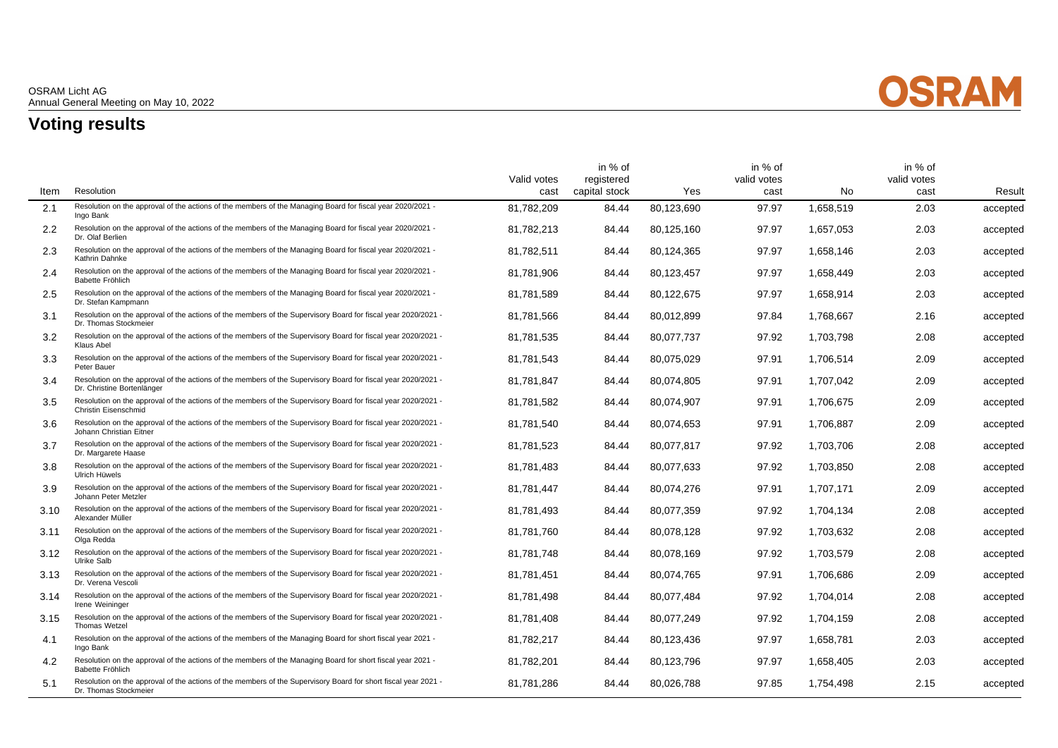

## **Voting results**

|      |                                                                                                                                              | Valid votes | in % of<br>registered |            | in % of<br>valid votes |           | in % of<br>valid votes |          |
|------|----------------------------------------------------------------------------------------------------------------------------------------------|-------------|-----------------------|------------|------------------------|-----------|------------------------|----------|
| Item | Resolution                                                                                                                                   | cast        | capital stock         | <b>Yes</b> | cast                   | No        | cast                   | Result   |
| 2.1  | Resolution on the approval of the actions of the members of the Managing Board for fiscal year 2020/2021 -<br>Ingo Bank                      | 81.782.209  | 84.44                 | 80.123.690 | 97.97                  | 1.658.519 | 2.03                   | accepted |
| 2.2  | Resolution on the approval of the actions of the members of the Managing Board for fiscal year 2020/2021 -<br>Dr. Olaf Berlien               | 81,782,213  | 84.44                 | 80,125,160 | 97.97                  | 1,657,053 | 2.03                   | accepted |
| 2.3  | Resolution on the approval of the actions of the members of the Managing Board for fiscal year 2020/2021 -<br>Kathrin Dahnke                 | 81,782,511  | 84.44                 | 80,124,365 | 97.97                  | 1,658,146 | 2.03                   | accepted |
| 2.4  | Resolution on the approval of the actions of the members of the Managing Board for fiscal year 2020/2021 -<br>Babette Fröhlich               | 81.781.906  | 84.44                 | 80,123,457 | 97.97                  | 1,658,449 | 2.03                   | accepted |
| 2.5  | Resolution on the approval of the actions of the members of the Managing Board for fiscal year 2020/2021 -<br>Dr. Stefan Kampmann            | 81,781,589  | 84.44                 | 80,122,675 | 97.97                  | 1,658,914 | 2.03                   | accepted |
| 3.1  | Resolution on the approval of the actions of the members of the Supervisory Board for fiscal year 2020/2021 -<br>Dr. Thomas Stockmeier       | 81.781.566  | 84.44                 | 80.012.899 | 97.84                  | 1.768.667 | 2.16                   | accepted |
| 3.2  | Resolution on the approval of the actions of the members of the Supervisory Board for fiscal year 2020/2021 -<br>Klaus Abel                  | 81.781.535  | 84.44                 | 80.077.737 | 97.92                  | 1.703.798 | 2.08                   | accepted |
| 3.3  | Resolution on the approval of the actions of the members of the Supervisory Board for fiscal year 2020/2021 -<br>Peter Bauer                 | 81,781,543  | 84.44                 | 80,075,029 | 97.91                  | 1,706,514 | 2.09                   | accepted |
| 3.4  | Resolution on the approval of the actions of the members of the Supervisory Board for fiscal year 2020/2021 -<br>Dr. Christine Bortenlänger  | 81,781,847  | 84.44                 | 80.074.805 | 97.91                  | 1,707,042 | 2.09                   | accepted |
| 3.5  | Resolution on the approval of the actions of the members of the Supervisory Board for fiscal year 2020/2021 -<br><b>Christin Eisenschmid</b> | 81,781,582  | 84.44                 | 80.074.907 | 97.91                  | 1,706,675 | 2.09                   | accepted |
| 3.6  | Resolution on the approval of the actions of the members of the Supervisory Board for fiscal year 2020/2021 -<br>Johann Christian Eitner     | 81,781,540  | 84.44                 | 80,074,653 | 97.91                  | 1,706,887 | 2.09                   | accepted |
| 3.7  | Resolution on the approval of the actions of the members of the Supervisory Board for fiscal year 2020/2021 -<br>Dr. Margarete Haase         | 81,781,523  | 84.44                 | 80.077.817 | 97.92                  | 1,703,706 | 2.08                   | accepted |
| 3.8  | Resolution on the approval of the actions of the members of the Supervisory Board for fiscal year 2020/2021 -<br>Ulrich Hüwels               | 81.781.483  | 84.44                 | 80.077.633 | 97.92                  | 1.703.850 | 2.08                   | accepted |
| 3.9  | Resolution on the approval of the actions of the members of the Supervisory Board for fiscal year 2020/2021 -<br>Johann Peter Metzler        | 81,781,447  | 84.44                 | 80,074,276 | 97.91                  | 1.707.171 | 2.09                   | accepted |
| 3.10 | Resolution on the approval of the actions of the members of the Supervisory Board for fiscal year 2020/2021 -<br>Alexander Müller            | 81,781,493  | 84.44                 | 80.077.359 | 97.92                  | 1,704,134 | 2.08                   | accepted |
| 3.11 | Resolution on the approval of the actions of the members of the Supervisory Board for fiscal year 2020/2021 -<br>Olga Redda                  | 81.781.760  | 84.44                 | 80.078.128 | 97.92                  | 1,703,632 | 2.08                   | accepted |
| 3.12 | Resolution on the approval of the actions of the members of the Supervisory Board for fiscal year 2020/2021 -<br>Ulrike Salb                 | 81,781,748  | 84.44                 | 80,078,169 | 97.92                  | 1,703,579 | 2.08                   | accepted |
| 3.13 | Resolution on the approval of the actions of the members of the Supervisory Board for fiscal year 2020/2021 -<br>Dr. Verena Vescoli          | 81,781,451  | 84.44                 | 80,074,765 | 97.91                  | 1,706,686 | 2.09                   | accepted |
| 3.14 | Resolution on the approval of the actions of the members of the Supervisory Board for fiscal year 2020/2021 -<br>Irene Weininger             | 81,781,498  | 84.44                 | 80.077.484 | 97.92                  | 1,704,014 | 2.08                   | accepted |
| 3.15 | Resolution on the approval of the actions of the members of the Supervisory Board for fiscal year 2020/2021 -<br>Thomas Wetzel               | 81,781,408  | 84.44                 | 80,077,249 | 97.92                  | 1,704,159 | 2.08                   | accepted |
| 4.1  | Resolution on the approval of the actions of the members of the Managing Board for short fiscal year 2021 -<br>Ingo Bank                     | 81,782,217  | 84.44                 | 80,123,436 | 97.97                  | 1,658,781 | 2.03                   | accepted |
| 4.2  | Resolution on the approval of the actions of the members of the Managing Board for short fiscal year 2021 -<br>Babette Fröhlich              | 81,782,201  | 84.44                 | 80,123,796 | 97.97                  | 1,658,405 | 2.03                   | accepted |
| 5.1  | Resolution on the approval of the actions of the members of the Supervisory Board for short fiscal year 2021 -<br>Dr. Thomas Stockmeier      | 81,781,286  | 84.44                 | 80,026,788 | 97.85                  | 1,754,498 | 2.15                   | accepted |